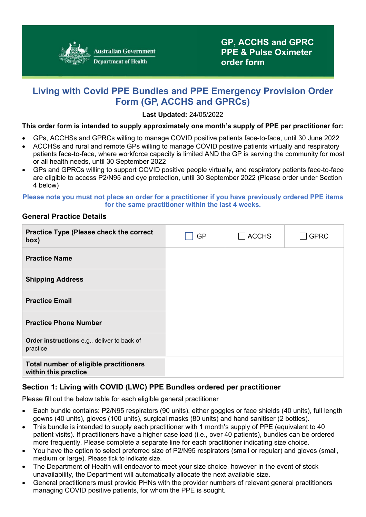

# **Living with Covid PPE Bundles and PPE Emergency Provision Order Form (GP, ACCHS and GPRCs)**

**Last Updated:** 24/05/2022

### **This order form is intended to supply approximately one month's supply of PPE per practitioner for:**

- GPs, ACCHSs and GPRCs willing to manage COVID positive patients face-to-face, until 30 June 2022
- ACCHSs and rural and remote GPs willing to manage COVID positive patients virtually and respiratory patients face-to-face, where workforce capacity is limited AND the GP is serving the community for most or all health needs, until 30 September 2022
- GPs and GPRCs willing to support COVID positive people virtually, and respiratory patients face-to-face are eligible to access P2/N95 and eye protection, until 30 September 2022 (Please order under Section 4 below)

#### **Please note you must not place an order for a practitioner if you have previously ordered PPE items for the same practitioner within the last 4 weeks.**

### **General Practice Details**

| Practice Type (Please check the correct<br>box)                | GP | <b>ACCHS</b> | <b>GPRC</b> |
|----------------------------------------------------------------|----|--------------|-------------|
| <b>Practice Name</b>                                           |    |              |             |
| <b>Shipping Address</b>                                        |    |              |             |
| <b>Practice Email</b>                                          |    |              |             |
| <b>Practice Phone Number</b>                                   |    |              |             |
| Order instructions e.g., deliver to back of<br>practice        |    |              |             |
| Total number of eligible practitioners<br>within this practice |    |              |             |

### **Section 1: Living with COVID (LWC) PPE Bundles ordered per practitioner**

Please fill out the below table for each eligible general practitioner

- Each bundle contains: P2/N95 respirators (90 units), either goggles or face shields (40 units), full length gowns (40 units), gloves (100 units), surgical masks (80 units) and hand sanitiser (2 bottles).
- This bundle is intended to supply each practitioner with 1 month's supply of PPE (equivalent to 40 patient visits). If practitioners have a higher case load (i.e., over 40 patients), bundles can be ordered more frequently. Please complete a separate line for each practitioner indicating size choice.
- You have the option to select preferred size of P2/N95 respirators (small or regular) and gloves (small, medium or large). Please tick to indicate size.
- The Department of Health will endeavor to meet your size choice, however in the event of stock unavailability, the Department will automatically allocate the next available size.
- General practitioners must provide PHNs with the provider numbers of relevant general practitioners managing COVID positive patients, for whom the PPE is sought.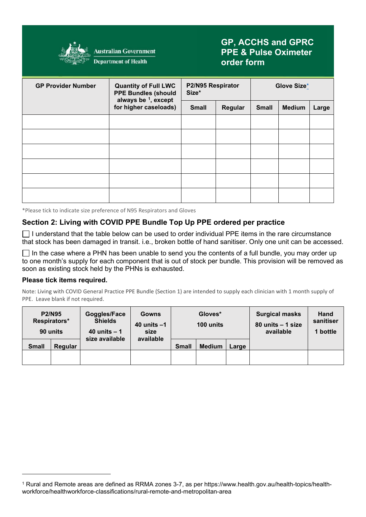

**Australian Government Department of Health** 

## **GP, ACCHS and GPRC PPE & Pulse Oximeter order form**

| <b>GP Provider Number</b> | <b>Quantity of Full LWC</b><br><b>PPE Bundles (should</b><br>always be $1$ , except<br>for higher caseloads) | P2/N95 Respirator<br>Size* |         | Glove Size*  |               |       |
|---------------------------|--------------------------------------------------------------------------------------------------------------|----------------------------|---------|--------------|---------------|-------|
|                           |                                                                                                              | <b>Small</b>               | Regular | <b>Small</b> | <b>Medium</b> | Large |
|                           |                                                                                                              |                            |         |              |               |       |
|                           |                                                                                                              |                            |         |              |               |       |
|                           |                                                                                                              |                            |         |              |               |       |
|                           |                                                                                                              |                            |         |              |               |       |
|                           |                                                                                                              |                            |         |              |               |       |
|                           |                                                                                                              |                            |         |              |               |       |
|                           |                                                                                                              |                            |         |              |               |       |

<span id="page-1-0"></span>\*Please tick to indicate size preference of N95 Respirators and Gloves

## **Section 2: Living with COVID PPE Bundle Top Up PPE ordered per practice**

 $\Box$  I understand that the table below can be used to order individual PPE items in the rare circumstance that stock has been damaged in transit. i.e., broken bottle of hand sanitiser. Only one unit can be accessed.

 $\Box$  In the case where a PHN has been unable to send you the contents of a full bundle, you may order up to one month's supply for each component that is out of stock per bundle. This provision will be removed as soon as existing stock held by the PHNs is exhausted.

#### **Please tick items required.**

Note: Living with COVID General Practice PPE Bundle (Section 1) are intended to supply each clinician with 1 month supply of PPE. Leave blank if not required.

|              | <b>P2/N95</b><br>Respirators*<br>90 units | Goggles/Face<br><b>Shields</b><br>40 units $-1$<br>size available | <b>Gowns</b><br>40 units $-1$<br>size<br>available | Gloves*<br>100 units |               | <b>Surgical masks</b><br>80 units - 1 size<br>available | Hand<br>sanitiser<br>1 bottle |  |
|--------------|-------------------------------------------|-------------------------------------------------------------------|----------------------------------------------------|----------------------|---------------|---------------------------------------------------------|-------------------------------|--|
| <b>Small</b> | Regular                                   |                                                                   |                                                    | <b>Small</b>         | <b>Medium</b> | Large                                                   |                               |  |
|              |                                           |                                                                   |                                                    |                      |               |                                                         |                               |  |

<span id="page-1-1"></span><sup>1</sup> Rural and Remote areas are defined as RRMA zones 3-7, as per https://www.health.gov.au/health-topics/healthworkforce/healthworkforce-classifications/rural-remote-and-metropolitan-area